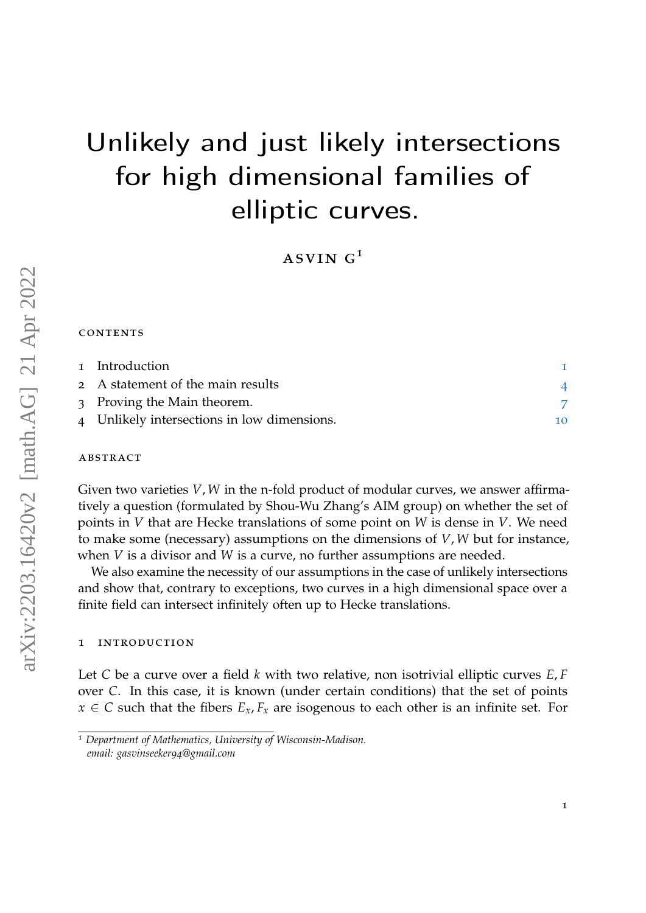# Unlikely and just likely intersections for high dimensional families of elliptic curves.

ASVIN  $G<sup>1</sup>$ 

#### **CONTENTS**

| 1 Introduction                              |    |
|---------------------------------------------|----|
| 2 A statement of the main results           |    |
| 3 Proving the Main theorem.                 |    |
| 4 Unlikely intersections in low dimensions. | 10 |

## **ABSTRACT**

Given two varieties *V*, *W* in the n-fold product of modular curves, we answer affirmatively a question (formulated by Shou-Wu Zhang's AIM group) on whether the set of points in *V* that are Hecke translations of some point on *W* is dense in *V*. We need to make some (necessary) assumptions on the dimensions of *V*, *W* but for instance, when *V* is a divisor and *W* is a curve, no further assumptions are needed.

We also examine the necessity of our assumptions in the case of unlikely intersections and show that, contrary to exceptions, two curves in a high dimensional space over a finite field can intersect infinitely often up to Hecke translations.

#### <span id="page-0-0"></span>1 introduction

Let *C* be a curve over a field *k* with two relative, non isotrivial elliptic curves *E*, *F* over *C*. In this case, it is known (under certain conditions) that the set of points  $x \in C$  such that the fibers  $E_x, F_x$  are isogenous to each other is an infinite set. For

<sup>1</sup> *Department of Mathematics, University of Wisconsin-Madison. email: gasvinseeker94@gmail.com*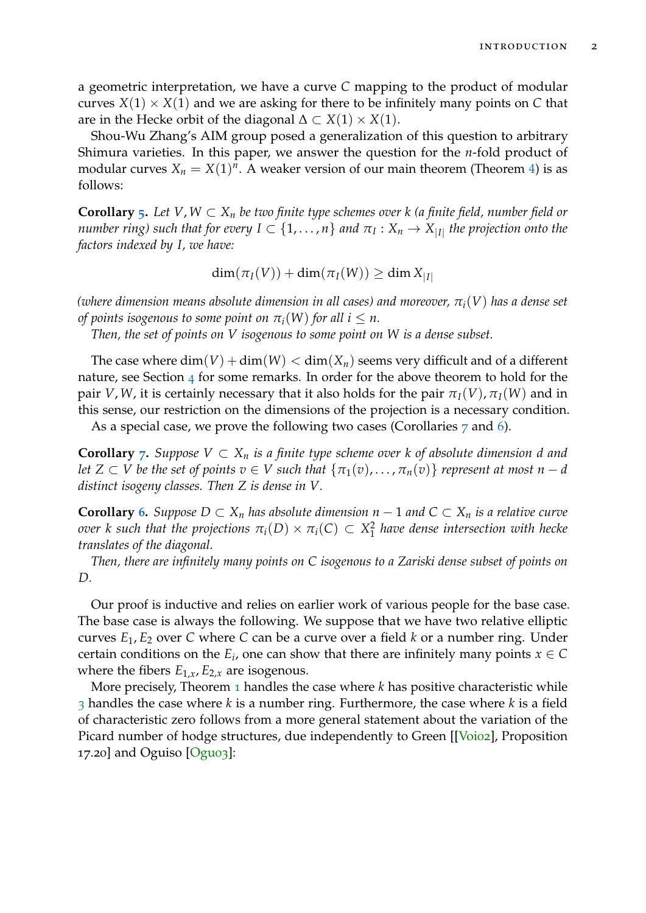a geometric interpretation, we have a curve *C* mapping to the product of modular curves  $X(1) \times X(1)$  and we are asking for there to be infinitely many points on C that are in the Hecke orbit of the diagonal  $\Delta \subset X(1) \times X(1)$ .

Shou-Wu Zhang's AIM group posed a generalization of this question to arbitrary Shimura varieties. In this paper, we answer the question for the *n*-fold product of modular curves  $X_n = X(1)^n$ . A weaker version of our main theorem (Theorem [4\)](#page-4-0) is as follows:

**Corollary** [5](#page-5-0). Let  $V, W \subset X_n$  be two finite type schemes over  $k$  (a finite field, number field or *number ring) such that for every*  $I \subset \{1,\ldots,n\}$  *and*  $\pi_I : X_n \to X_{|I|}$  *the projection onto the factors indexed by I, we have:*

$$
\dim(\pi_I(V)) + \dim(\pi_I(W)) \ge \dim X_{|I|}
$$

*(where dimension means absolute dimension in all cases) and moreover, πi*(*V*) *has a dense set of points isogenous to some point on*  $\pi_i(W)$  *for all i*  $\leq n$ *.* 

*Then, the set of points on V isogenous to some point on W is a dense subset.*

The case where  $\dim(V) + \dim(W) < \dim(X_n)$  seems very difficult and of a different nature, see Section  $\frac{4}{4}$  $\frac{4}{4}$  $\frac{4}{4}$  for some remarks. In order for the above theorem to hold for the pair *V*, *W*, it is certainly necessary that it also holds for the pair  $\pi_I(V)$ ,  $\pi_I(W)$  and in this sense, our restriction on the dimensions of the projection is a necessary condition.

As a special case, we prove the following two cases (Corollaries [7](#page-5-1) and [6](#page-5-2)).

**Corollary**  $\tau$ **.** *Suppose*  $V$  ⊂  $X_n$  *is a finite type scheme over k of absolute dimension d and let*  $Z \subset V$  *be the set of points*  $v \in V$  *such that*  $\{\pi_1(v), \ldots, \pi_n(v)\}$  *represent at most*  $n - d$ *distinct isogeny classes. Then Z is dense in V.*

**Corollary [6](#page-5-2).** Suppose  $D \subset X_n$  has absolute dimension  $n - 1$  and  $C \subset X_n$  is a relative curve *over k* such that the projections  $\pi_i(D) \times \pi_i(C) \subset X_1^2$ 1 *have dense intersection with hecke translates of the diagonal.*

*Then, there are infinitely many points on C isogenous to a Zariski dense subset of points on D.*

Our proof is inductive and relies on earlier work of various people for the base case. The base case is always the following. We suppose that we have two relative elliptic curves *E*1, *E*<sup>2</sup> over *C* where *C* can be a curve over a field *k* or a number ring. Under certain conditions on the  $E_i$ , one can show that there are infinitely many points  $x \in C$ where the fibers  $E_{1,x}$ ,  $E_{2,x}$  are isogenous.

More precisely, Theorem [1](#page-3-1) handles the case where *k* has positive characteristic while [3](#page-4-1) handles the case where *k* is a number ring. Furthermore, the case where *k* is a field of characteristic zero follows from a more general statement about the variation of the Picard number of hodge structures, due independently to Green [[\[Voi](#page-12-0)o2], Proposition 17.20] and Oguiso [\[Ogu](#page-11-0)03]: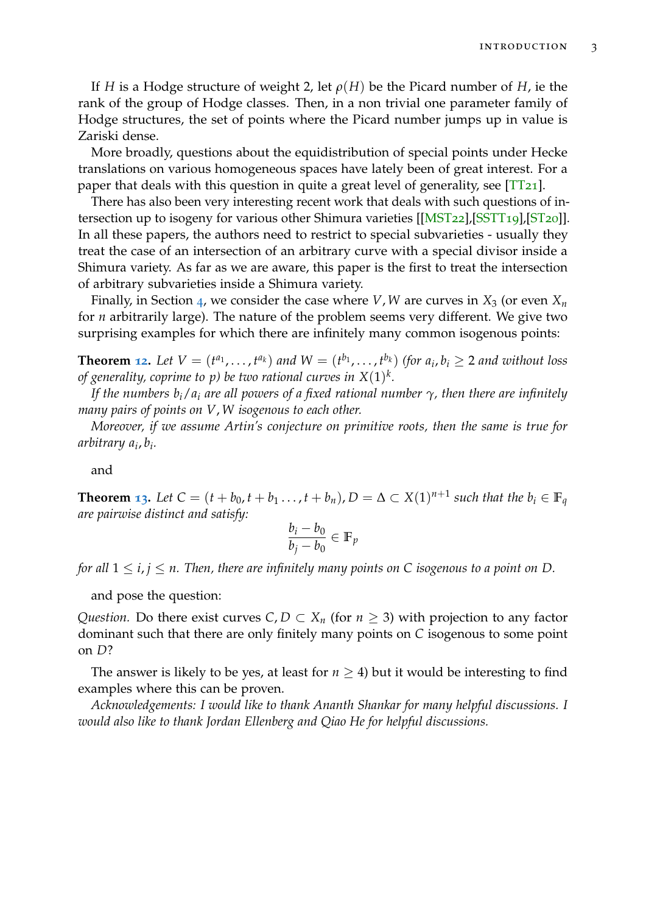If *H* is a Hodge structure of weight 2, let *ρ*(*H*) be the Picard number of *H*, ie the rank of the group of Hodge classes. Then, in a non trivial one parameter family of Hodge structures, the set of points where the Picard number jumps up in value is Zariski dense.

More broadly, questions about the equidistribution of special points under Hecke translations on various homogeneous spaces have lately been of great interest. For a paper that deals with this question in quite a great level of generality, see  $[TT_{21}]$  $[TT_{21}]$ .

There has also been very interesting recent work that deals with such questions of intersection up to isogeny for various other Shimura varieties [[\[MST](#page-11-2)22],[\[SSTT](#page-11-3)19],[\[ST](#page-11-4)20]]. In all these papers, the authors need to restrict to special subvarieties - usually they treat the case of an intersection of an arbitrary curve with a special divisor inside a Shimura variety. As far as we are aware, this paper is the first to treat the intersection of arbitrary subvarieties inside a Shimura variety.

Finally, in Section [4](#page-9-0), we consider the case where *V*, *W* are curves in  $X_3$  (or even  $X_n$ for *n* arbitrarily large). The nature of the problem seems very different. We give two surprising examples for which there are infinitely many common isogenous points:

**Theorem [12](#page-9-1).** Let  $V = (t^{a_1},...,t^{a_k})$  and  $W = (t^{b_1},...,t^{b_k})$  (for  $a_i, b_i \ge 2$  and without loss *of generality, coprime to p) be two rational curves in X*(1) *k .*

*If the numbers bi*/*a<sup>i</sup> are all powers of a fixed rational number γ, then there are infinitely many pairs of points on V*, *W isogenous to each other.*

*Moreover, if we assume Artin's conjecture on primitive roots, then the same is true for arbitrary a<sup>i</sup>* , *bi .*

and

**Theorem [13](#page-10-0).** Let  $C = (t + b_0, t + b_1, \ldots, t + b_n)$ ,  $D = \Delta \subset X(1)^{n+1}$  such that the  $b_i \in \mathbb{F}_q$ *are pairwise distinct and satisfy:*

$$
\frac{b_i - b_0}{b_j - b_0} \in \mathbb{F}_p
$$

*for all*  $1 \le i, j \le n$ . Then, there are infinitely many points on C isogenous to a point on D.

and pose the question:

*Question.* Do there exist curves  $C, D \subset X_n$  (for  $n \geq 3$ ) with projection to any factor dominant such that there are only finitely many points on *C* isogenous to some point on *D*?

The answer is likely to be yes, at least for  $n \geq 4$ ) but it would be interesting to find examples where this can be proven.

*Acknowledgements: I would like to thank Ananth Shankar for many helpful discussions. I would also like to thank Jordan Ellenberg and Qiao He for helpful discussions.*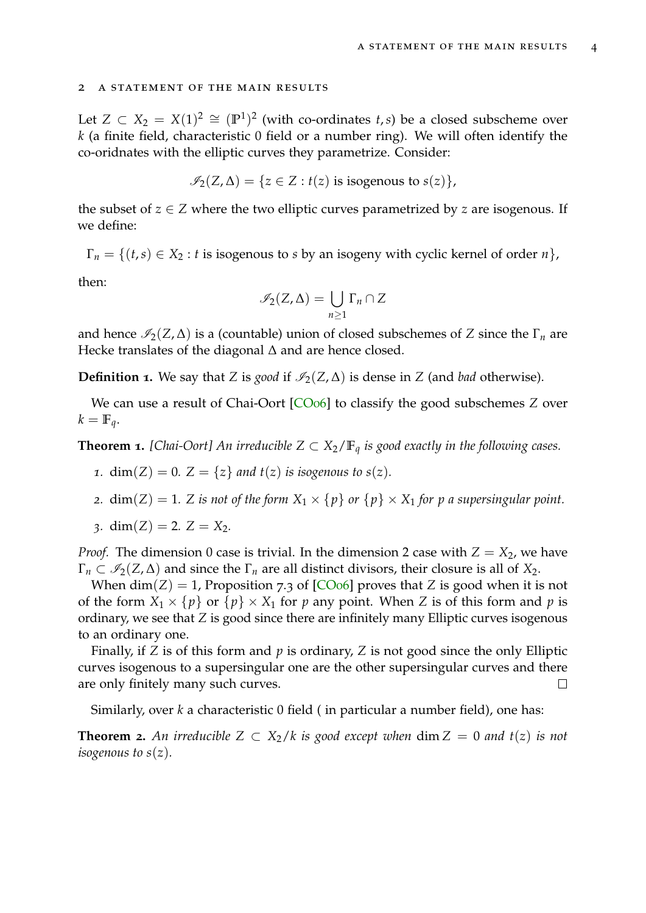#### <span id="page-3-0"></span>2 a statement of the main results

Let  $Z \subset X_2 = X(1)^2 \cong (\mathbb{P}^1)^2$  (with co-ordinates *t*,*s*) be a closed subscheme over *k* (a finite field, characteristic 0 field or a number ring). We will often identify the co-oridnates with the elliptic curves they parametrize. Consider:

$$
\mathscr{I}_2(Z,\Delta) = \{ z \in Z : t(z) \text{ is isogenous to } s(z) \},
$$

the subset of  $z \in Z$  where the two elliptic curves parametrized by *z* are isogenous. If we define:

 $\Gamma_n = \{(t,s) \in X_2 : t \text{ is isogenous to } s \text{ by an isogeny with cyclic kernel of order } n\},\$ 

then:

$$
\mathscr{I}_2(Z,\Delta)=\bigcup_{n\geq 1}\Gamma_n\cap Z
$$

and hence  $\mathcal{I}_2(Z,\Delta)$  is a (countable) union of closed subschemes of *Z* since the  $\Gamma_n$  are Hecke translates of the diagonal ∆ and are hence closed.

**Definition 1.** We say that *Z* is *good* if  $\mathcal{I}_2(Z, \Delta)$  is dense in *Z* (and *bad* otherwise).

We can use a result of Chai-Oort [\[CO](#page-11-5)<sub>06</sub>] to classify the good subschemes *Z* over  $k = \mathbb{F}_q$ .

<span id="page-3-1"></span>**Theorem 1.** [Chai-Oort] An irreducible  $Z \subset X_2/\mathbb{F}_q$  is good exactly in the following cases.

- *1.* dim(*Z*) = 0*. Z* = {*z*} *and*  $t(z)$  *is isogenous to s*(*z*)*.*
- *2.* dim(*Z*) = 1*. Z is not of the form*  $X_1 \times \{p\}$  *or*  $\{p\} \times X_1$  *for p a supersingular point.*
- 3*.* dim(*Z*) = 2*.*  $Z = X_2$ *.*

*Proof.* The dimension 0 case is trivial. In the dimension 2 case with  $Z = X_2$ , we have  $\Gamma_n \subset \mathcal{I}_2(Z,\Delta)$  and since the  $\Gamma_n$  are all distinct divisors, their closure is all of  $X_2$ .

When  $\dim(Z) = 1$ , Proposition 7.3 of [\[CO](#page-11-5)<sub>06</sub>] proves that *Z* is good when it is not of the form  $X_1 \times \{p\}$  or  $\{p\} \times X_1$  for *p* any point. When *Z* is of this form and *p* is ordinary, we see that *Z* is good since there are infinitely many Elliptic curves isogenous to an ordinary one.

Finally, if *Z* is of this form and *p* is ordinary, *Z* is not good since the only Elliptic curves isogenous to a supersingular one are the other supersingular curves and there are only finitely many such curves.  $\Box$ 

Similarly, over *k* a characteristic 0 field ( in particular a number field), one has:

<span id="page-3-2"></span>**Theorem 2.** An irreducible  $Z \subset X_2/k$  is good except when  $\dim Z = 0$  and  $t(z)$  is not *isogenous to s*(*z*)*.*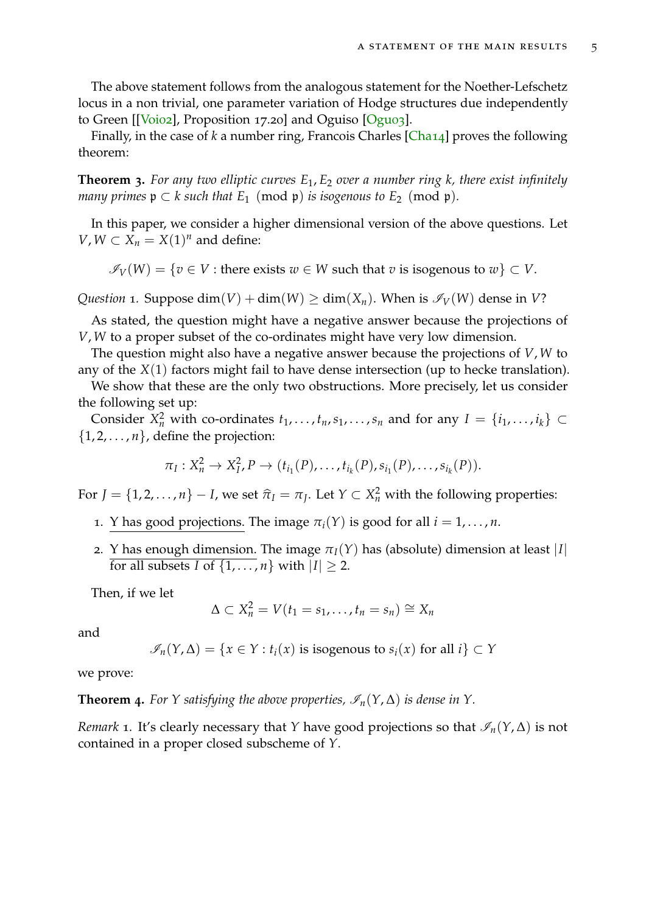The above statement follows from the analogous statement for the Noether-Lefschetz locus in a non trivial, one parameter variation of Hodge structures due independently to Green [[\[Voi](#page-12-0)02], Proposition 17.20] and Oguiso [\[Ogu](#page-11-0)03].

Finally, in the case of *k* a number ring, Francois Charles [\[Cha](#page-11-6)14] proves the following theorem:

<span id="page-4-1"></span>**Theorem 3.** *For any two elliptic curves E*1, *E*<sup>2</sup> *over a number ring k, there exist infinitely many primes*  $p \subset k$  *such that*  $E_1 \pmod{p}$  *is isogenous to*  $E_2 \pmod{p}$ *.* 

In this paper, we consider a higher dimensional version of the above questions. Let *V*, *W* ⊂ *X*<sub>*n*</sub> = *X*(1)<sup>*n*</sup> and define:

 $\mathscr{I}_V(W) = \{v \in V : \text{there exists } w \in W \text{ such that } v \text{ is isogenous to } w\} \subset V.$ 

*Question* 1*.* Suppose dim(*V*) + dim(*W*)  $\ge$  dim(*X<sub>n</sub>*). When is  $\mathcal{I}_V(W)$  dense in *V*?

As stated, the question might have a negative answer because the projections of *V*, *W* to a proper subset of the co-ordinates might have very low dimension.

The question might also have a negative answer because the projections of *V*, *W* to any of the *X*(1) factors might fail to have dense intersection (up to hecke translation).

We show that these are the only two obstructions. More precisely, let us consider the following set up:

Consider  $X_n^2$  with co-ordinates  $t_1, \ldots, t_n, s_1, \ldots, s_n$  and for any  $I = \{i_1, \ldots, i_k\} \subset$  $\{1, 2, \ldots, n\}$ , define the projection:

$$
\pi_I: X_n^2 \to X_I^2, P \to (t_{i_1}(P), \ldots, t_{i_k}(P), s_{i_1}(P), \ldots, s_{i_k}(P)).
$$

For  $J = \{1, 2, ..., n\} - I$ , we set  $\hat{\pi}_I = \pi_J$ . Let  $Y \subset X_n^2$  with the following properties:

- 1. Y has good projections. The image  $\pi_i(Y)$  is good for all  $i = 1, \ldots, n$ .
- 2. Y has enough dimension. The image  $\pi_I(Y)$  has (absolute) dimension at least |*I*| for all subsets *I* of  $\{1, \ldots, n\}$  with  $|I| \ge 2$ .

Then, if we let

$$
\Delta \subset X_n^2 = V(t_1 = s_1, \ldots, t_n = s_n) \cong X_n
$$

and

$$
\mathcal{I}_n(Y,\Delta) = \{x \in Y : t_i(x) \text{ is isogenous to } s_i(x) \text{ for all } i\} \subset Y
$$

we prove:

<span id="page-4-0"></span>**Theorem 4.** For *Y* satisfying the above properties,  $\mathscr{I}_n(Y, \Delta)$  is dense in *Y*.

*Remark* 1. It's clearly necessary that *Y* have good projections so that  $\mathcal{I}_n(Y, \Delta)$  is not contained in a proper closed subscheme of *Y*.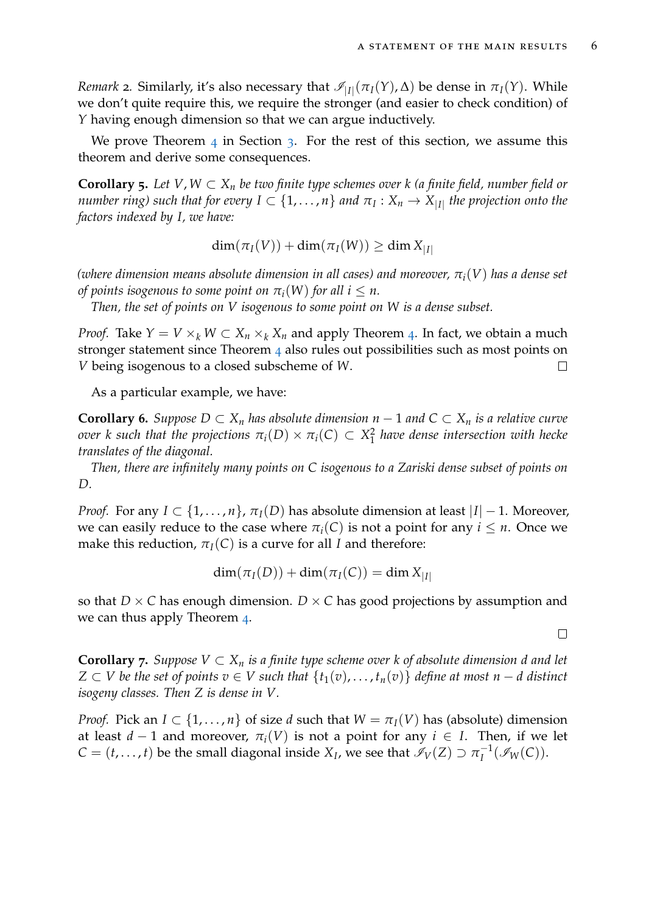*Remark* 2. Similarly, it's also necessary that  $\mathcal{I}_{|I|}(\pi_I(Y), \Delta)$  be dense in  $\pi_I(Y)$ . While we don't quite require this, we require the stronger (and easier to check condition) of *Y* having enough dimension so that we can argue inductively.

We prove Theorem  $\frac{4}{3}$  $\frac{4}{3}$  $\frac{4}{3}$  $\frac{4}{3}$  $\frac{4}{3}$  in Section 3. For the rest of this section, we assume this theorem and derive some consequences.

<span id="page-5-0"></span>**Corollary 5.** Let  $V, W \subset X_n$  be two finite type schemes over  $k$  (a finite field, number field or *number ring) such that for every*  $I \subset \{1,\ldots,n\}$  *and*  $\pi_I : X_n \to X_{|I|}$  *the projection onto the factors indexed by I, we have:*

$$
\dim(\pi_I(V)) + \dim(\pi_I(W)) \ge \dim X_{|I|}
$$

*(where dimension means absolute dimension in all cases) and moreover, πi*(*V*) *has a dense set of points isogenous to some point on*  $\pi_i(W)$  *for all i*  $\leq n$ *.* 

*Then, the set of points on V isogenous to some point on W is a dense subset.*

*Proof.* Take  $Y = V \times_k W \subset X_n \times_k X_n$  and apply Theorem [4](#page-4-0). In fact, we obtain a much stronger statement since Theorem [4](#page-4-0) also rules out possibilities such as most points on *V* being isogenous to a closed subscheme of *W*.  $\Box$ 

As a particular example, we have:

<span id="page-5-2"></span>**Corollary 6.** Suppose  $D \subset X_n$  has absolute dimension  $n - 1$  and  $C \subset X_n$  is a relative curve *over k* such that the projections  $\pi_i(D) \times \pi_i(C) \subset X_1^2$ 1 *have dense intersection with hecke translates of the diagonal.*

*Then, there are infinitely many points on C isogenous to a Zariski dense subset of points on D.*

*Proof.* For any  $I \subset \{1, ..., n\}$ ,  $\pi_I(D)$  has absolute dimension at least  $|I| - 1$ . Moreover, we can easily reduce to the case where  $\pi_i(C)$  is not a point for any  $i \leq n$ . Once we make this reduction,  $\pi_I(C)$  is a curve for all *I* and therefore:

$$
\dim(\pi_I(D)) + \dim(\pi_I(C)) = \dim X_{|I|}
$$

so that  $D \times C$  has enough dimension.  $D \times C$  has good projections by assumption and we can thus apply Theorem [4](#page-4-0).

<span id="page-5-1"></span>**Corollary 7.** *Suppose V* ⊂ *X<sup>n</sup> is a finite type scheme over k of absolute dimension d and let Z* ⊂ *V be the set of points*  $v \in V$  *such that*  $\{t_1(v), \ldots, t_n(v)\}$  *define at most*  $n - d$  *distinct isogeny classes. Then Z is dense in V.*

*Proof.* Pick an  $I \subset \{1, ..., n\}$  of size *d* such that  $W = \pi_I(V)$  has (absolute) dimension at least  $d-1$  and moreover,  $\pi_i(V)$  is not a point for any  $i \in I$ . Then, if we let  $C = (t, \ldots, t)$  be the small diagonal inside  $X_I$ , we see that  $\mathscr{I}_V(Z) \supset \pi_I^{-1}$  $I_I^{-1}(\mathscr{I}_W(C)).$ 

 $\Box$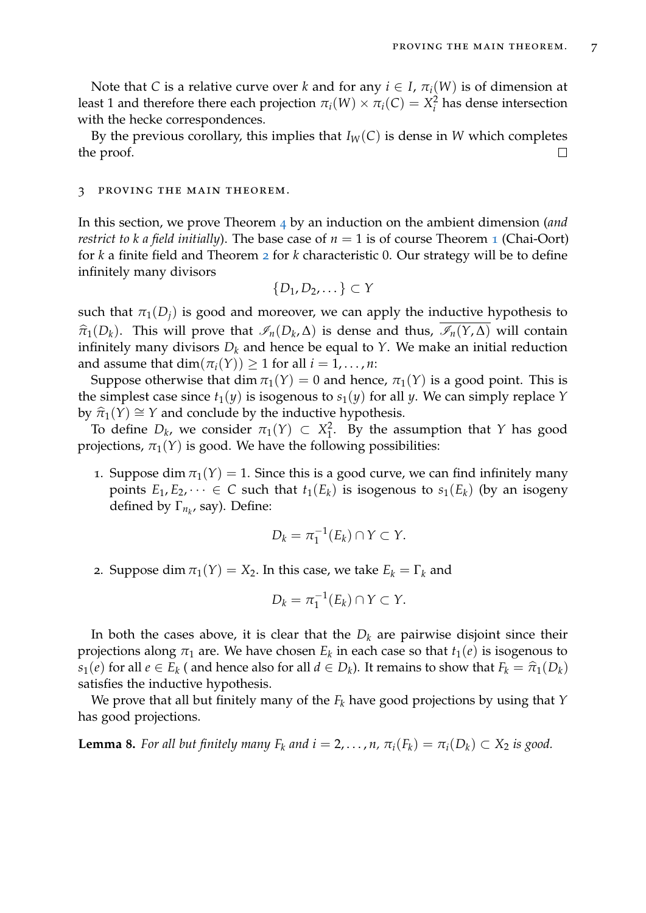Note that *C* is a relative curve over *k* and for any  $i \in I$ ,  $\pi_i(W)$  is of dimension at least 1 and therefore there each projection  $\pi_i(W) \times \pi_i(C) = X_i^2$  $\frac{2}{i}$  has dense intersection with the hecke correspondences.

By the previous corollary, this implies that  $I_W(C)$  is dense in *W* which completes the proof.  $\Box$ 

### <span id="page-6-0"></span>3 proving the main theorem.

In this section, we prove Theorem [4](#page-4-0) by an induction on the ambient dimension (*and restrict to k a field initially*). The base case of  $n = 1$  $n = 1$  is of course Theorem 1 (Chai-Oort) for *k* a finite field and Theorem [2](#page-3-2) for *k* characteristic 0. Our strategy will be to define infinitely many divisors

$$
\{D_1, D_2, \dots\} \subset Y
$$

such that  $\pi_1(D_i)$  is good and moreover, we can apply the inductive hypothesis to  $\hat{\pi}_1(D_k)$ . This will prove that  $\mathcal{I}_n(D_k, \Delta)$  is dense and thus,  $\mathcal{I}_n(Y, \Delta)$  will contain<br>infinitely means divisors D, and hance be equal to  $Y$ . We make an initial veduction infinitely many divisors  $D_k$  and hence be equal to *Y*. We make an initial reduction and assume that  $\dim(\pi_i(Y)) \geq 1$  for all  $i = 1, ..., n$ :

Suppose otherwise that dim  $\pi_1(Y) = 0$  and hence,  $\pi_1(Y)$  is a good point. This is the simplest case since  $t_1(y)$  is isogenous to  $s_1(y)$  for all *y*. We can simply replace *Y* by  $\hat{\pi}_1(Y) \cong Y$  and conclude by the inductive hypothesis.

To define  $D_k$ , we consider  $\pi_1(Y) \subset X_1^2$ 1 . By the assumption that *Y* has good projections,  $\pi_1(Y)$  is good. We have the following possibilities:

1. Suppose dim  $\pi_1(Y) = 1$ . Since this is a good curve, we can find infinitely many points  $E_1, E_2, \dots \in C$  such that  $t_1(E_k)$  is isogenous to  $s_1(E_k)$  (by an isogeny defined by  $\Gamma_{n_k}$ , say). Define:

$$
D_k = \pi_1^{-1}(E_k) \cap Y \subset Y.
$$

2. Suppose dim  $\pi_1(Y) = X_2$ . In this case, we take  $E_k = \Gamma_k$  and

$$
D_k = \pi_1^{-1}(E_k) \cap Y \subset Y.
$$

In both the cases above, it is clear that the  $D_k$  are pairwise disjoint since their projections along  $\pi_1$  are. We have chosen  $E_k$  in each case so that  $t_1(e)$  is isogenous to *s*<sub>1</sub>(*e*) for all *e* ∈ *E*<sub>*k*</sub></sub> ( and hence also for all *d* ∈ *D*<sub>*k*</sub>). It remains to show that  $F_k = \hat{\pi}_1(D_k)$  actiofies the inductive hypothesis satisfies the inductive hypothesis.

We prove that all but finitely many of the *F<sup>k</sup>* have good projections by using that *Y* has good projections.

**Lemma 8.** For all but finitely many  $F_k$  and  $i = 2, \ldots, n$ ,  $\pi_i(F_k) = \pi_i(D_k) \subset X_2$  is good.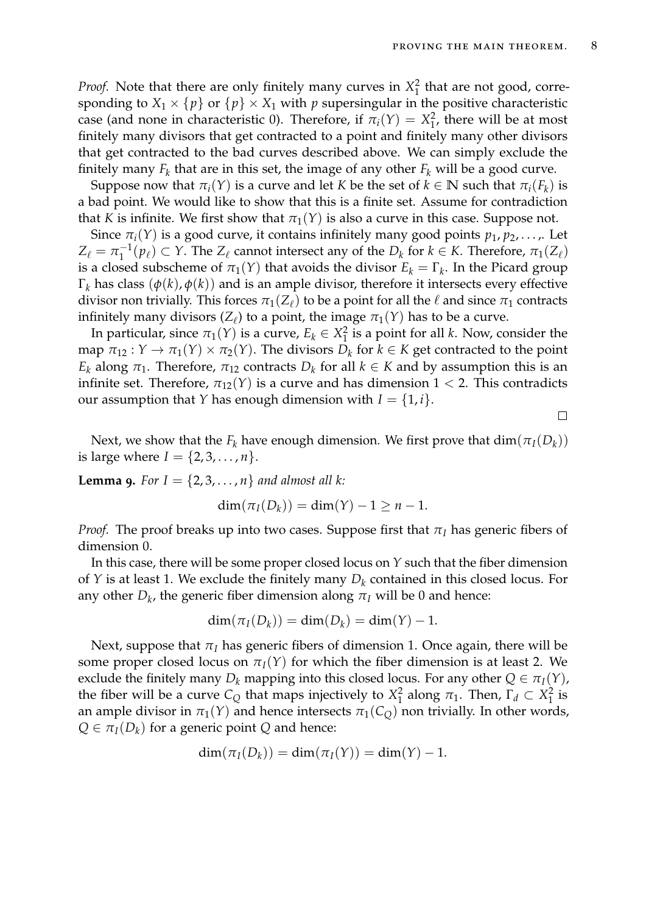$\Box$ 

*Proof.* Note that there are only finitely many curves in *X* 2  $\frac{2}{1}$  that are not good, corresponding to  $X_1 \times \{p\}$  or  $\{p\} \times X_1$  with *p* supersingular in the positive characteristic case (and none in characteristic 0). Therefore, if  $\pi_i(Y) = X_1^2$  $\frac{2}{1}$ , there will be at most finitely many divisors that get contracted to a point and finitely many other divisors that get contracted to the bad curves described above. We can simply exclude the finitely many  $F_k$  that are in this set, the image of any other  $F_k$  will be a good curve.

Suppose now that  $\pi_i(Y)$  is a curve and let *K* be the set of  $k \in \mathbb{N}$  such that  $\pi_i(F_k)$  is a bad point. We would like to show that this is a finite set. Assume for contradiction that *K* is infinite. We first show that  $\pi_1(Y)$  is also a curve in this case. Suppose not.

Since  $\pi_i(Y)$  is a good curve, it contains infinitely many good points  $p_1, p_2, \ldots$ . Let  $Z_\ell = \pi_1^{-1}$  $T_1^{-1}(p_\ell) \subset Y$ . The  $Z_\ell$  cannot intersect any of the  $D_k$  for  $k \in K$ . Therefore,  $\pi_1(Z_\ell)$ is a closed subscheme of  $\pi_1(Y)$  that avoids the divisor  $E_k = \Gamma_k$ . In the Picard group Γ*<sup>k</sup>* has class (*φ*(*k*), *φ*(*k*)) and is an ample divisor, therefore it intersects every effective divisor non trivially. This forces  $\pi_1(Z_\ell)$  to be a point for all the  $\ell$  and since  $\pi_1$  contracts infinitely many divisors  $(Z_\ell)$  to a point, the image  $\pi_1(Y)$  has to be a curve.

In particular, since  $\pi_1(Y)$  is a curve,  $E_k \in X_1^2$  $\frac{1}{1}$  is a point for all *k*. Now, consider the map  $\pi_{12}: Y \to \pi_1(Y) \times \pi_2(Y)$ . The divisors  $D_k$  for  $k \in K$  get contracted to the point *E*<sub>*k*</sub> along  $\pi_1$ . Therefore,  $\pi_{12}$  contracts  $D_k$  for all  $k \in K$  and by assumption this is an infinite set. Therefore,  $\pi_{12}(Y)$  is a curve and has dimension  $1 < 2$ . This contradicts our assumption that *Y* has enough dimension with  $I = \{1, i\}.$ 

Next, we show that the  $F_k$  have enough dimension. We first prove that  $dim(\pi_I(D_k))$ is large where  $I = \{2, 3, ..., n\}.$ 

**Lemma 9.** *For*  $I = \{2, 3, ..., n\}$  *and almost all k:* 

$$
\dim(\pi_I(D_k)) = \dim(Y) - 1 \geq n - 1.
$$

*Proof.* The proof breaks up into two cases. Suppose first that  $\pi$ <sup>*I*</sup> has generic fibers of dimension 0.

In this case, there will be some proper closed locus on *Y* such that the fiber dimension of *Y* is at least 1. We exclude the finitely many *D<sup>k</sup>* contained in this closed locus. For any other  $D_k$ , the generic fiber dimension along  $\pi_I$  will be 0 and hence:

$$
\dim(\pi_I(D_k)) = \dim(D_k) = \dim(Y) - 1.
$$

Next, suppose that  $\pi$ <sup>*I*</sup> has generic fibers of dimension 1. Once again, there will be some proper closed locus on  $\pi_I(Y)$  for which the fiber dimension is at least 2. We exclude the finitely many  $D_k$  mapping into this closed locus. For any other  $Q \in \pi_I(Y)$ , the fiber will be a curve  $C_Q$  that maps injectively to  $X_1^2$  $T_1^2$  along  $\pi_1$ . Then,  $\Gamma_d \subset X_1^2$  $\frac{2}{1}$  is an ample divisor in  $\pi_1(Y)$  and hence intersects  $\pi_1(C_Q)$  non trivially. In other words,  $Q \in \pi_I(D_k)$  for a generic point *Q* and hence:

$$
\dim(\pi_I(D_k)) = \dim(\pi_I(Y)) = \dim(Y) - 1.
$$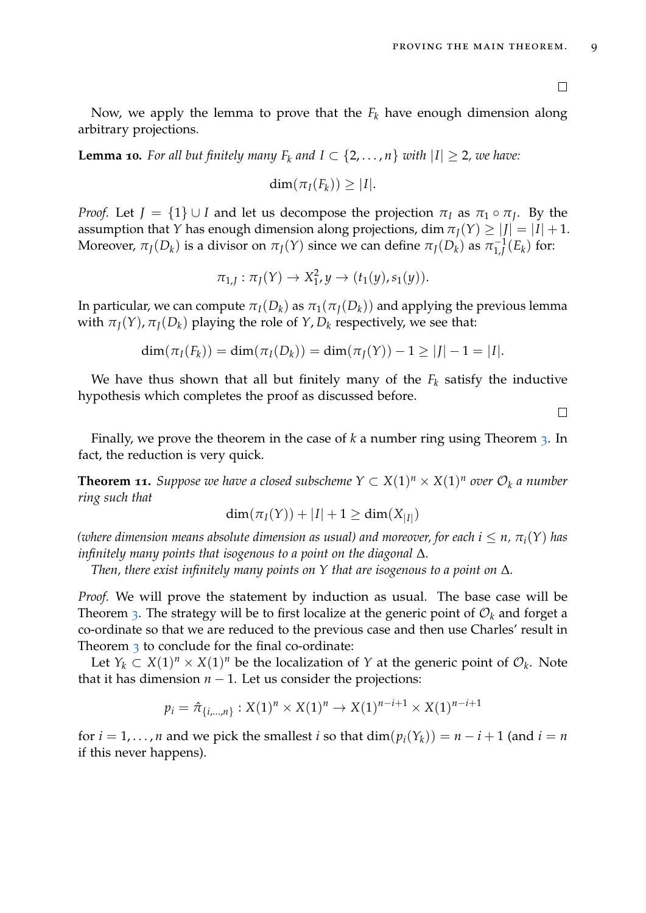Now, we apply the lemma to prove that the *F<sup>k</sup>* have enough dimension along arbitrary projections.

**Lemma 10.** For all but finitely many  $F_k$  and  $I \subset \{2, ..., n\}$  with  $|I| \geq 2$ , we have:

$$
\dim(\pi_I(F_k))\geq |I|.
$$

*Proof.* Let  $J = \{1\} \cup I$  and let us decompose the projection  $\pi_I$  as  $\pi_I \circ \pi_J$ . By the assumption that *Y* has enough dimension along projections, dim  $\pi_I(Y) \geq |J| = |I| + 1$ . Moreover,  $\pi_J(D_k)$  is a divisor on  $\pi_J(Y)$  since we can define  $\pi_J(D_k)$  as  $\pi_{1,I}^{-1}$  $\int_{1,J}^{-1}(E_k)$  for:

$$
\pi_{1,J} : \pi_J(Y) \to X_1^2, y \to (t_1(y), s_1(y)).
$$

In particular, we can compute  $\pi_I(D_k)$  as  $\pi_I(\pi_I(D_k))$  and applying the previous lemma with  $\pi_J(Y)$ ,  $\pi_J(D_k)$  playing the role of  $Y$ ,  $D_k$  respectively, we see that:

$$
\dim(\pi_I(F_k)) = \dim(\pi_I(D_k)) = \dim(\pi_J(Y)) - 1 \ge |J| - 1 = |I|.
$$

We have thus shown that all but finitely many of the  $F_k$  satisfy the inductive hypothesis which completes the proof as discussed before.

 $\Box$ 

Finally, we prove the theorem in the case of *k* a number ring using Theorem [3](#page-4-1). In fact, the reduction is very quick.

**Theorem 11.** Suppose we have a closed subscheme  $Y \subset X(1)^n \times X(1)^n$  over  $\mathcal{O}_k$  a number *ring such that*

$$
\dim(\pi_I(Y)) + |I| + 1 \ge \dim(X_{|I|})
$$

*(where dimension means absolute dimension as usual) and moreover, for each*  $i \leq n$ ,  $\pi_i(Y)$  has *infinitely many points that isogenous to a point on the diagonal* ∆*.*

*Then, there exist infinitely many points on Y that are isogenous to a point on* ∆*.*

*Proof.* We will prove the statement by induction as usual. The base case will be Theorem [3](#page-4-1). The strategy will be to first localize at the generic point of  $\mathcal{O}_k$  and forget a co-ordinate so that we are reduced to the previous case and then use Charles' result in Theorem [3](#page-4-1) to conclude for the final co-ordinate:

Let  $Y_k \subset X(1)^n \times X(1)^n$  be the localization of *Y* at the generic point of  $\mathcal{O}_k$ . Note that it has dimension  $n - 1$ . Let us consider the projections:

$$
p_i = \hat{\pi}_{\{i,\dots,n\}} : X(1)^n \times X(1)^n \to X(1)^{n-i+1} \times X(1)^{n-i+1}
$$

for  $i = 1, ..., n$  and we pick the smallest *i* so that  $dim(p_i(Y_k)) = n - i + 1$  (and  $i = n$ if this never happens).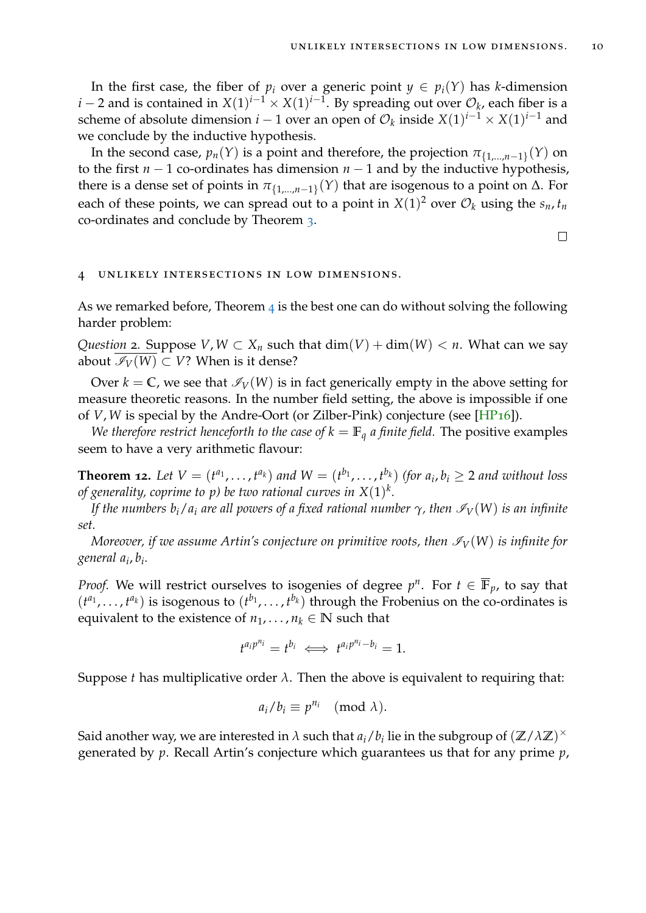In the first case, the fiber of  $p_i$  over a generic point  $y \in p_i(Y)$  has *k*-dimension *i* − 2 and is contained in  $X(1)^{i-1} \times X(1)^{i-1}$ . By spreading out over  $\mathcal{O}_k$ , each fiber is a scheme of absolute dimension  $i-1$  over an open of  $\mathcal{O}_k$  inside  $X(1)^{i-1} \times X(1)^{i-1}$  and we conclude by the inductive hypothesis.

In the second case,  $p_n(Y)$  is a point and therefore, the projection  $\pi_{\{1,...,n-1\}}(Y)$  on to the first  $n - 1$  co-ordinates has dimension  $n - 1$  and by the inductive hypothesis, there is a dense set of points in  $\pi_{\{1,...,n-1\}}(Y)$  that are isogenous to a point on Δ. For each of these points, we can spread out to a point in  $X(1)^2$  over  $\mathcal{O}_k$  using the  $s_n$ ,  $t_n$ co-ordinates and conclude by Theorem [3](#page-4-1).

 $\Box$ 

#### <span id="page-9-0"></span>UNLIKELY INTERSECTIONS IN LOW DIMENSIONS.

As we remarked before, Theorem  $\frac{4}{1}$  $\frac{4}{1}$  $\frac{4}{1}$  is the best one can do without solving the following harder problem:

*Question* 2. Suppose *V*,  $W \subset X_n$  such that  $\dim(V) + \dim(W) < n$ . What can we say about  $\mathcal{I}_V(W)$  ⊂ *V*? When is it dense?

Over  $k = \mathbb{C}$ , we see that  $\mathcal{I}_V(W)$  is in fact generically empty in the above setting for measure theoretic reasons. In the number field setting, the above is impossible if one of *V*, *W* is special by the Andre-Oort (or Zilber-Pink) conjecture (see [\[HP](#page-11-7)16]).

*We therefore restrict henceforth to the case of*  $k = \mathbb{F}_q$  *a finite field.* The positive examples seem to have a very arithmetic flavour:

<span id="page-9-1"></span>**Theorem 12.** Let  $V = (t^{a_1},...,t^{a_k})$  and  $W = (t^{b_1},...,t^{b_k})$  (for  $a_i, b_i \ge 2$  and without loss *of generality, coprime to p) be two rational curves in X*(1) *k .*

*If the numbers*  $b_i/a_i$  *are all powers of a fixed rational number*  $\gamma$ *, then*  $\mathcal{I}_V(W)$  *is an infinite set.*

*Moreover, if we assume Artin's conjecture on primitive roots, then*  $\mathcal{I}_V(W)$  *is infinite for general a<sup>i</sup>* , *bi .*

*Proof.* We will restrict ourselves to isogenies of degree  $p^n$ . For  $t \in \overline{\mathbb{F}}_p$ , to say that  $(t^{a_1},..., t^{a_k})$  is isogenous to  $(t^{b_1},..., t^{b_k})$  through the Frobenius on the co-ordinates is equivalent to the existence of  $n_1, \ldots, n_k \in \mathbb{N}$  such that

$$
t^{a_i p^{n_i}} = t^{b_i} \iff t^{a_i p^{n_i} - b_i} = 1.
$$

Suppose *t* has multiplicative order  $\lambda$ . Then the above is equivalent to requiring that:

$$
a_i/b_i \equiv p^{n_i} \pmod{\lambda}.
$$

Said another way, we are interested in  $\lambda$  such that  $a_i/b_i$  lie in the subgroup of  $(\mathbb{Z}/\lambda\mathbb{Z})^{\times}$ generated by *p*. Recall Artin's conjecture which guarantees us that for any prime *p*,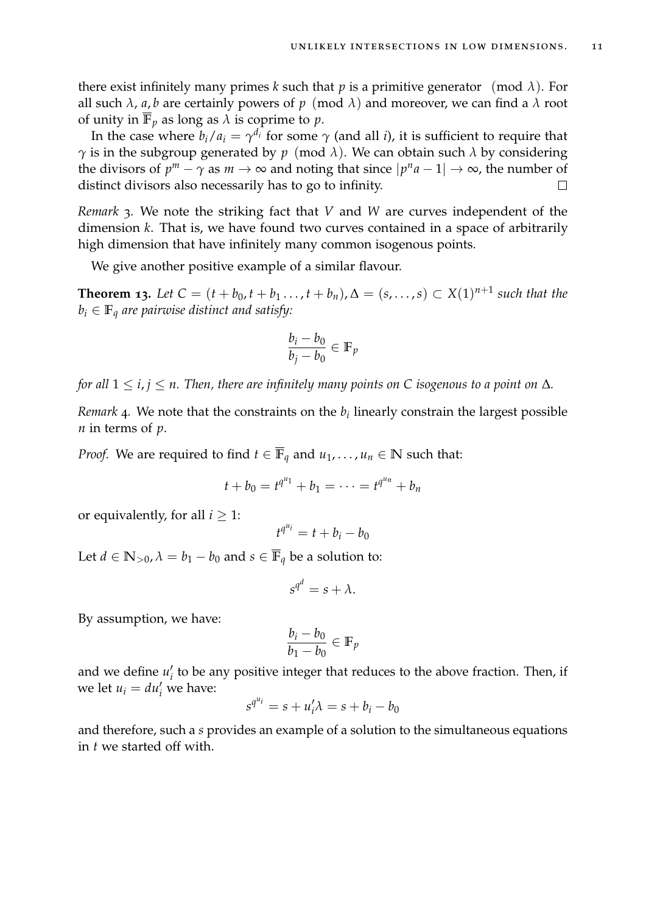there exist infinitely many primes *k* such that *p* is a primitive generator (mod  $\lambda$ ). For all such  $\lambda$ ,  $a$ ,  $b$  are certainly powers of  $p \pmod{\lambda}$  and moreover, we can find a  $\lambda$  root of unity in  $\mathbb{F}_p$  as long as  $\lambda$  is coprime to  $p$ .

In the case where  $b_i/a_i = \gamma^{d_i}$  for some  $\gamma$  (and all *i*), it is sufficient to require that *γ* is in the subgroup generated by *p* (mod *λ*). We can obtain such *λ* by considering the divisors of  $p^m - \gamma$  as  $m \to \infty$  and noting that since  $|p^n a - 1| \to \infty$ , the number of distinct divisors also necessarily has to go to infinity.

*Remark* 3*.* We note the striking fact that *V* and *W* are curves independent of the dimension *k*. That is, we have found two curves contained in a space of arbitrarily high dimension that have infinitely many common isogenous points.

We give another positive example of a similar flavour.

<span id="page-10-0"></span>**Theorem 13.** Let  $C = (t + b_0, t + b_1, \ldots, t + b_n), \Delta = (s, \ldots, s)$  ⊂  $X(1)^{n+1}$  such that the  $b_i \in \mathbb{F}_q$  are pairwise distinct and satisfy:

$$
\frac{b_i - b_0}{b_j - b_0} \in \mathbb{F}_p
$$

*for all*  $1 \le i, j \le n$ . Then, there are infinitely many points on C isogenous to a point on  $\Delta$ *.* 

*Remark* 4. We note that the constraints on the  $b_i$  linearly constrain the largest possible *n* in terms of *p*.

*Proof.* We are required to find  $t \in \overline{\mathbb{F}}_q$  and  $u_1, \ldots, u_n \in \mathbb{N}$  such that:

$$
t + b_0 = t^{q^{u_1}} + b_1 = \cdots = t^{q^{u_n}} + b_n
$$

or equivalently, for all  $i \geq 1$ :

$$
t^{q^{u_i}} = t + b_i - b_0
$$

Let  $d \in \mathbb{N}_{>0}$ ,  $\lambda = b_1 - b_0$  and  $s \in \overline{\mathbb{F}}_q$  be a solution to:

$$
s^{q^d}=s+\lambda.
$$

By assumption, we have:

$$
\frac{b_i - b_0}{b_1 - b_0} \in \mathbb{F}_p
$$

and we define  $u_i'$ *i* to be any positive integer that reduces to the above fraction. Then, if we let  $u_i = du'_i$  we have:

$$
s^{q^{u_i}} = s + u'_i \lambda = s + b_i - b_0
$$

and therefore, such a *s* provides an example of a solution to the simultaneous equations in *t* we started off with.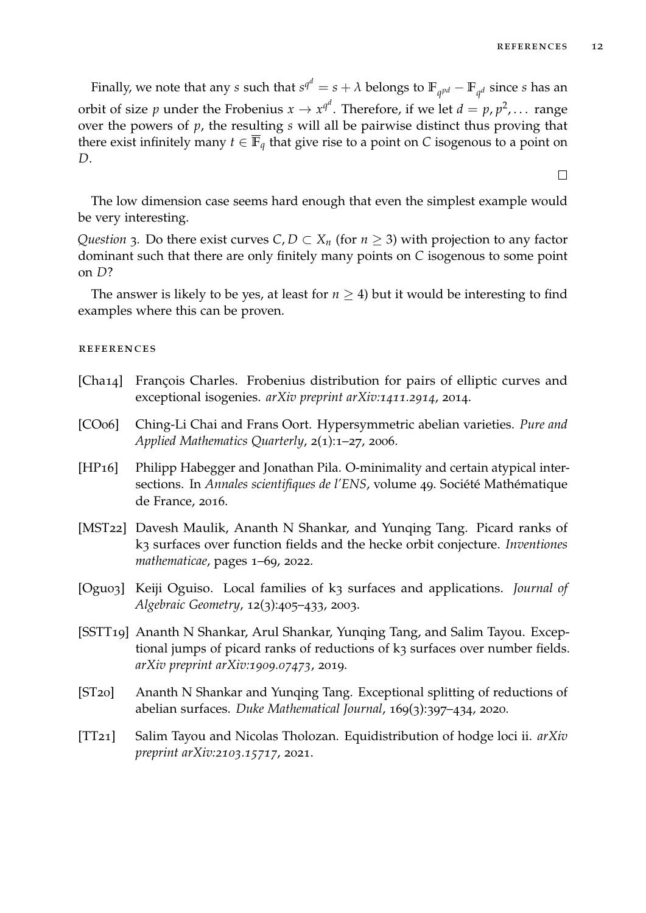$\Box$ 

Finally, we note that any  $s$  such that  $s^{q^d} = s + \lambda$  belongs to  $\mathbb{F}_{q^{pd}} - \mathbb{F}_{q^d}$  since  $s$  has an orbit of size  $p$  under the Frobenius  $x \to x^{q^d}$ . Therefore, if we let  $d = p, p^2, \ldots$  range over the powers of *p*, the resulting *s* will all be pairwise distinct thus proving that there exist infinitely many  $t \in \mathbb{F}_q$  that give rise to a point on *C* isogenous to a point on *D*.

The low dimension case seems hard enough that even the simplest example would be very interesting.

*Question* 3*.* Do there exist curves *C*, *D*  $\subset$  *X*<sub>*n*</sub> (for *n*  $\ge$  3) with projection to any factor dominant such that there are only finitely many points on *C* isogenous to some point on *D*?

The answer is likely to be yes, at least for  $n \geq 4$ ) but it would be interesting to find examples where this can be proven.

## **REFERENCES**

- <span id="page-11-6"></span>[Cha14] François Charles. Frobenius distribution for pairs of elliptic curves and exceptional isogenies. *arXiv preprint arXiv:1411.2914*, 2014.
- <span id="page-11-5"></span>[CO06] Ching-Li Chai and Frans Oort. Hypersymmetric abelian varieties. *Pure and Applied Mathematics Quarterly*, 2(1):1–27, 2006.
- <span id="page-11-7"></span>[HP16] Philipp Habegger and Jonathan Pila. O-minimality and certain atypical intersections. In *Annales scientifiques de l'ENS*, volume 49. Société Mathématique de France, 2016.
- <span id="page-11-2"></span>[MST22] Davesh Maulik, Ananth N Shankar, and Yunqing Tang. Picard ranks of k3 surfaces over function fields and the hecke orbit conjecture. *Inventiones mathematicae*, pages 1–69, 2022.
- <span id="page-11-0"></span>[Ogu03] Keiji Oguiso. Local families of k3 surfaces and applications. *Journal of Algebraic Geometry*, 12(3):405–433, 2003.
- <span id="page-11-3"></span>[SSTT19] Ananth N Shankar, Arul Shankar, Yunqing Tang, and Salim Tayou. Exceptional jumps of picard ranks of reductions of k3 surfaces over number fields. *arXiv preprint arXiv:1909.07473*, 2019.
- <span id="page-11-4"></span>[ST20] Ananth N Shankar and Yunqing Tang. Exceptional splitting of reductions of abelian surfaces. *Duke Mathematical Journal*, 169(3):397–434, 2020.
- <span id="page-11-1"></span>[TT21] Salim Tayou and Nicolas Tholozan. Equidistribution of hodge loci ii. *arXiv preprint arXiv:2103.15717*, 2021.